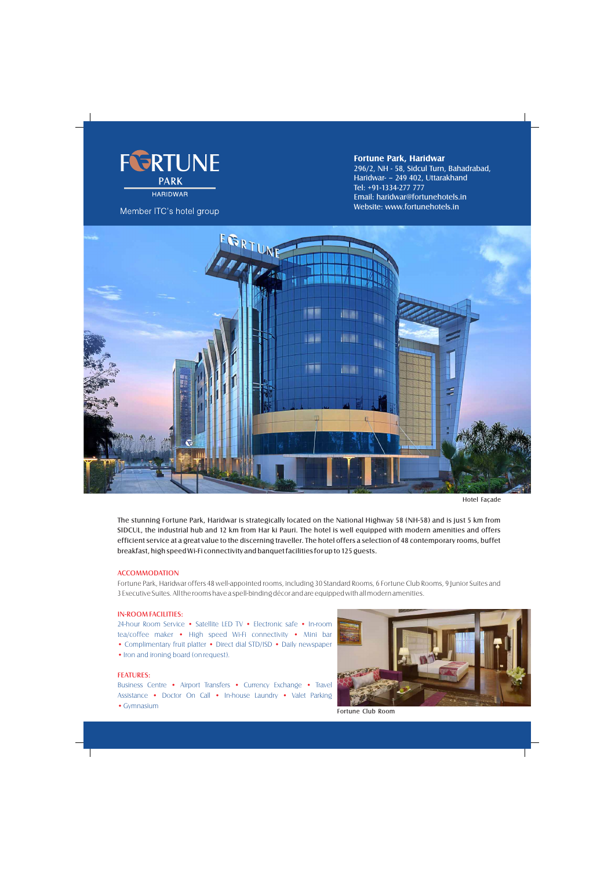

Member ITC's hotel group

Tel: +91-1334-277 777 Email: haridwar@fortunehotels.in Website: www.fortunehotels.in Haridwar- – 249 402, Uttarakhand 296/2, NH - 58, Sidcul Turn, Bahadrabad, **Fortune Park, Haridwar**



Hotel Façade

The stunning Fortune Park, Haridwar is strategically located on the National Highway 58 (NH-58) and is just 5 km from SIDCUL, the industrial hub and 12 km from Har ki Pauri. The hotel is well equipped with modern amenities and offers efficient service at a great value to the discerning traveller. The hotel offers a selection of 48 contemporary rooms, buffet breakfast, high speed Wi-Fi connectivity and banquet facilities for up to 125 guests.

### ACCOMMODATION

Fortune Park, Haridwar offers 48 well-appointed rooms, including 30 Standard Rooms, 6 Fortune Club Rooms, 9 Junior Suites and 3 Executive Suites. All the rooms have a spell-binding décor and are equipped with all modern amenities.

#### IN-ROOM FACILITIES:

24-hour Room Service • Satellite LED TV • Electronic safe • In-room tea/coffee maker • High speed Wi-Fi connectivity • Mini bar • Complimentary fruit platter • Direct dial STD/ISD • Daily newspaper • Iron and ironing board (on request).

#### FEATURES:

Business Centre • Airport Transfers • Currency Exchange • Travel Assistance • Doctor On Call • In-house Laundry • Valet Parking •Gymnasium



Fortune Club Room